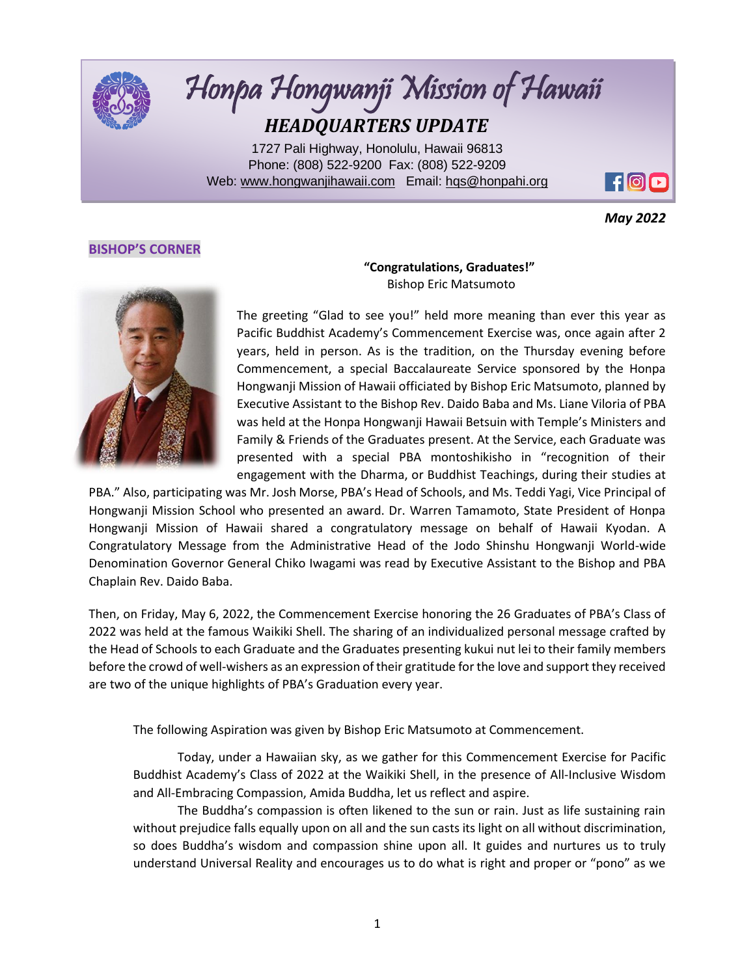

# Honpa Hongwanji Mission of Hawaii *HEADQUARTERS UPDATE*

1727 Pali Highway, Honolulu, Hawaii 96813 Phone: (808) 522-9200 Fax: (808) 522-9209 Web: [www.hongwanjihawaii.com](http://www.hongwanjihawaii.com/) Email: [hqs@honpahi.org](mailto:hqs@honpahi.org)



*May 2022*

## **BISHOP'S CORNER**



 **"Congratulations, Graduates!"**  Bishop Eric Matsumoto

The greeting "Glad to see you!" held more meaning than ever this year as Pacific Buddhist Academy's Commencement Exercise was, once again after 2 years, held in person. As is the tradition, on the Thursday evening before Commencement, a special Baccalaureate Service sponsored by the Honpa Hongwanji Mission of Hawaii officiated by Bishop Eric Matsumoto, planned by Executive Assistant to the Bishop Rev. Daido Baba and Ms. Liane Viloria of PBA was held at the Honpa Hongwanji Hawaii Betsuin with Temple's Ministers and Family & Friends of the Graduates present. At the Service, each Graduate was presented with a special PBA montoshikisho in "recognition of their engagement with the Dharma, or Buddhist Teachings, during their studies at

PBA." Also, participating was Mr. Josh Morse, PBA's Head of Schools, and Ms. Teddi Yagi, Vice Principal of Hongwanji Mission School who presented an award. Dr. Warren Tamamoto, State President of Honpa Hongwanji Mission of Hawaii shared a congratulatory message on behalf of Hawaii Kyodan. A Congratulatory Message from the Administrative Head of the Jodo Shinshu Hongwanji World-wide Denomination Governor General Chiko Iwagami was read by Executive Assistant to the Bishop and PBA Chaplain Rev. Daido Baba.

Then, on Friday, May 6, 2022, the Commencement Exercise honoring the 26 Graduates of PBA's Class of 2022 was held at the famous Waikiki Shell. The sharing of an individualized personal message crafted by the Head of Schools to each Graduate and the Graduates presenting kukui nut lei to their family members before the crowd of well-wishers as an expression of their gratitude for the love and support they received are two of the unique highlights of PBA's Graduation every year.

The following Aspiration was given by Bishop Eric Matsumoto at Commencement.

Today, under a Hawaiian sky, as we gather for this Commencement Exercise for Pacific Buddhist Academy's Class of 2022 at the Waikiki Shell, in the presence of All-Inclusive Wisdom and All-Embracing Compassion, Amida Buddha, let us reflect and aspire.

The Buddha's compassion is often likened to the sun or rain. Just as life sustaining rain without prejudice falls equally upon on all and the sun casts its light on all without discrimination, so does Buddha's wisdom and compassion shine upon all. It guides and nurtures us to truly understand Universal Reality and encourages us to do what is right and proper or "pono" as we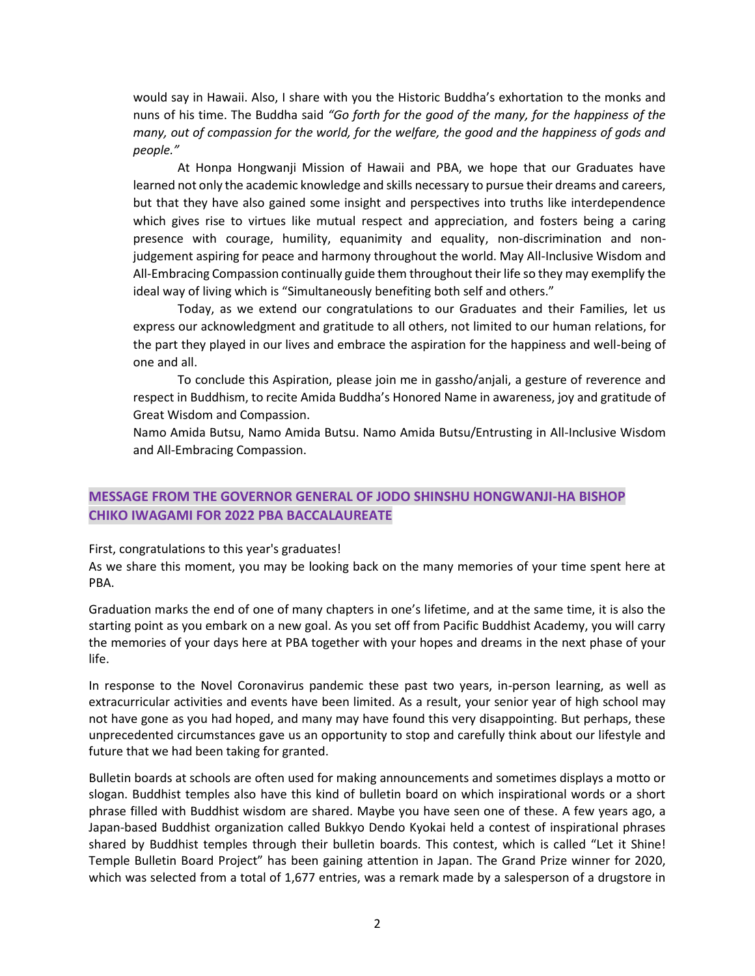would say in Hawaii. Also, I share with you the Historic Buddha's exhortation to the monks and nuns of his time. The Buddha said *"Go forth for the good of the many, for the happiness of the many, out of compassion for the world, for the welfare, the good and the happiness of gods and people."* 

At Honpa Hongwanji Mission of Hawaii and PBA, we hope that our Graduates have learned not only the academic knowledge and skills necessary to pursue their dreams and careers, but that they have also gained some insight and perspectives into truths like interdependence which gives rise to virtues like mutual respect and appreciation, and fosters being a caring presence with courage, humility, equanimity and equality, non-discrimination and nonjudgement aspiring for peace and harmony throughout the world. May All-Inclusive Wisdom and All-Embracing Compassion continually guide them throughout their life so they may exemplify the ideal way of living which is "Simultaneously benefiting both self and others."

Today, as we extend our congratulations to our Graduates and their Families, let us express our acknowledgment and gratitude to all others, not limited to our human relations, for the part they played in our lives and embrace the aspiration for the happiness and well-being of one and all.

To conclude this Aspiration, please join me in gassho/anjali, a gesture of reverence and respect in Buddhism, to recite Amida Buddha's Honored Name in awareness, joy and gratitude of Great Wisdom and Compassion.

Namo Amida Butsu, Namo Amida Butsu. Namo Amida Butsu/Entrusting in All-Inclusive Wisdom and All-Embracing Compassion.

# **MESSAGE FROM THE GOVERNOR GENERAL OF JODO SHINSHU HONGWANJI-HA BISHOP CHIKO IWAGAMI FOR 2022 PBA BACCALAUREATE**

First, congratulations to this year's graduates!

As we share this moment, you may be looking back on the many memories of your time spent here at PBA.

Graduation marks the end of one of many chapters in one's lifetime, and at the same time, it is also the starting point as you embark on a new goal. As you set off from Pacific Buddhist Academy, you will carry the memories of your days here at PBA together with your hopes and dreams in the next phase of your life.

In response to the Novel Coronavirus pandemic these past two years, in-person learning, as well as extracurricular activities and events have been limited. As a result, your senior year of high school may not have gone as you had hoped, and many may have found this very disappointing. But perhaps, these unprecedented circumstances gave us an opportunity to stop and carefully think about our lifestyle and future that we had been taking for granted.

Bulletin boards at schools are often used for making announcements and sometimes displays a motto or slogan. Buddhist temples also have this kind of bulletin board on which inspirational words or a short phrase filled with Buddhist wisdom are shared. Maybe you have seen one of these. A few years ago, a Japan-based Buddhist organization called Bukkyo Dendo Kyokai held a contest of inspirational phrases shared by Buddhist temples through their bulletin boards. This contest, which is called "Let it Shine! Temple Bulletin Board Project" has been gaining attention in Japan. The Grand Prize winner for 2020, which was selected from a total of 1,677 entries, was a remark made by a salesperson of a drugstore in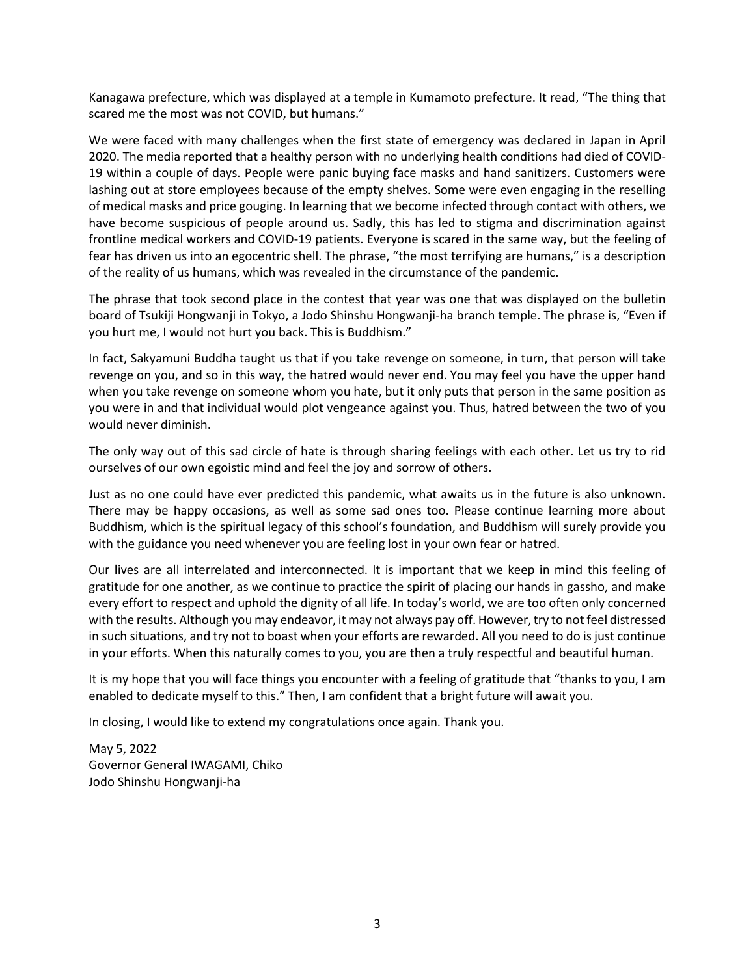Kanagawa prefecture, which was displayed at a temple in Kumamoto prefecture. It read, "The thing that scared me the most was not COVID, but humans."

We were faced with many challenges when the first state of emergency was declared in Japan in April 2020. The media reported that a healthy person with no underlying health conditions had died of COVID-19 within a couple of days. People were panic buying face masks and hand sanitizers. Customers were lashing out at store employees because of the empty shelves. Some were even engaging in the reselling of medical masks and price gouging. In learning that we become infected through contact with others, we have become suspicious of people around us. Sadly, this has led to stigma and discrimination against frontline medical workers and COVID-19 patients. Everyone is scared in the same way, but the feeling of fear has driven us into an egocentric shell. The phrase, "the most terrifying are humans," is a description of the reality of us humans, which was revealed in the circumstance of the pandemic.

The phrase that took second place in the contest that year was one that was displayed on the bulletin board of Tsukiji Hongwanji in Tokyo, a Jodo Shinshu Hongwanji-ha branch temple. The phrase is, "Even if you hurt me, I would not hurt you back. This is Buddhism."

In fact, Sakyamuni Buddha taught us that if you take revenge on someone, in turn, that person will take revenge on you, and so in this way, the hatred would never end. You may feel you have the upper hand when you take revenge on someone whom you hate, but it only puts that person in the same position as you were in and that individual would plot vengeance against you. Thus, hatred between the two of you would never diminish.

The only way out of this sad circle of hate is through sharing feelings with each other. Let us try to rid ourselves of our own egoistic mind and feel the joy and sorrow of others.

Just as no one could have ever predicted this pandemic, what awaits us in the future is also unknown. There may be happy occasions, as well as some sad ones too. Please continue learning more about Buddhism, which is the spiritual legacy of this school's foundation, and Buddhism will surely provide you with the guidance you need whenever you are feeling lost in your own fear or hatred.

Our lives are all interrelated and interconnected. It is important that we keep in mind this feeling of gratitude for one another, as we continue to practice the spirit of placing our hands in gassho, and make every effort to respect and uphold the dignity of all life. In today's world, we are too often only concerned with the results. Although you may endeavor, it may not always pay off. However, try to not feel distressed in such situations, and try not to boast when your efforts are rewarded. All you need to do is just continue in your efforts. When this naturally comes to you, you are then a truly respectful and beautiful human.

It is my hope that you will face things you encounter with a feeling of gratitude that "thanks to you, I am enabled to dedicate myself to this." Then, I am confident that a bright future will await you.

In closing, I would like to extend my congratulations once again. Thank you.

May 5, 2022 Governor General IWAGAMI, Chiko Jodo Shinshu Hongwanji-ha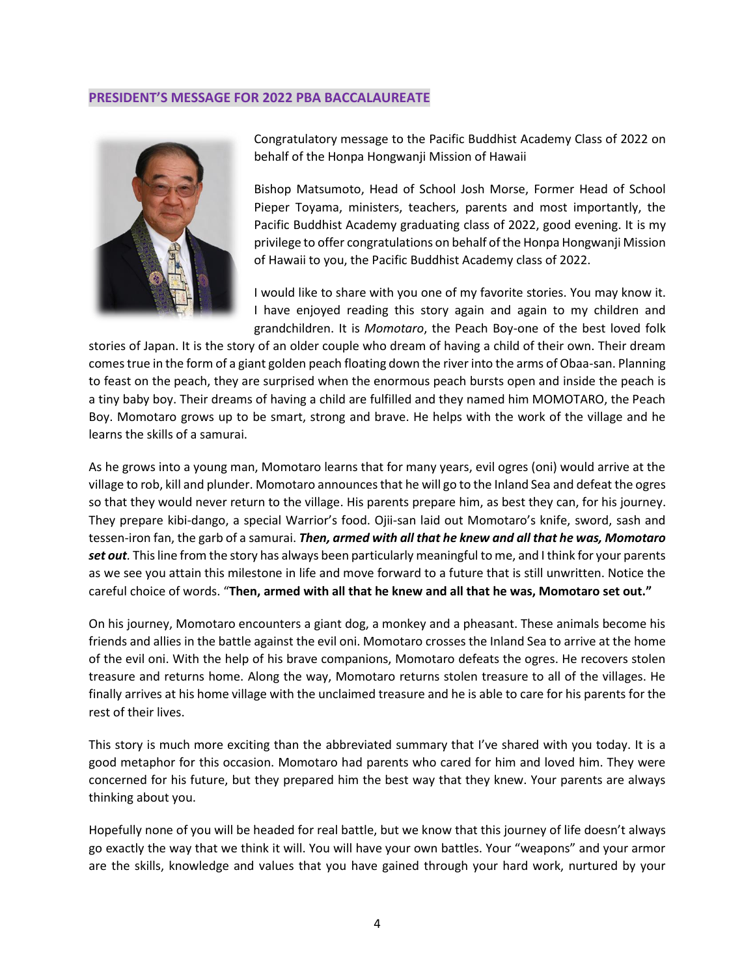#### **PRESIDENT'S MESSAGE FOR 2022 PBA BACCALAUREATE**



Congratulatory message to the Pacific Buddhist Academy Class of 2022 on behalf of the Honpa Hongwanji Mission of Hawaii

Bishop Matsumoto, Head of School Josh Morse, Former Head of School Pieper Toyama, ministers, teachers, parents and most importantly, the Pacific Buddhist Academy graduating class of 2022, good evening. It is my privilege to offer congratulations on behalf of the Honpa Hongwanji Mission of Hawaii to you, the Pacific Buddhist Academy class of 2022.

I would like to share with you one of my favorite stories. You may know it. I have enjoyed reading this story again and again to my children and grandchildren. It is *Momotaro*, the Peach Boy-one of the best loved folk

stories of Japan. It is the story of an older couple who dream of having a child of their own. Their dream comes true in the form of a giant golden peach floating down the river into the arms of Obaa-san. Planning to feast on the peach, they are surprised when the enormous peach bursts open and inside the peach is a tiny baby boy. Their dreams of having a child are fulfilled and they named him MOMOTARO, the Peach Boy. Momotaro grows up to be smart, strong and brave. He helps with the work of the village and he learns the skills of a samurai.

As he grows into a young man, Momotaro learns that for many years, evil ogres (oni) would arrive at the village to rob, kill and plunder. Momotaro announces that he will go to the Inland Sea and defeat the ogres so that they would never return to the village. His parents prepare him, as best they can, for his journey. They prepare kibi-dango, a special Warrior's food. Ojii-san laid out Momotaro's knife, sword, sash and tessen-iron fan, the garb of a samurai. *Then, armed with all that he knew and all that he was, Momotaro set out.* This line from the story has always been particularly meaningful to me, and I think for your parents as we see you attain this milestone in life and move forward to a future that is still unwritten. Notice the careful choice of words. "**Then, armed with all that he knew and all that he was, Momotaro set out."**

On his journey, Momotaro encounters a giant dog, a monkey and a pheasant. These animals become his friends and allies in the battle against the evil oni. Momotaro crosses the Inland Sea to arrive at the home of the evil oni. With the help of his brave companions, Momotaro defeats the ogres. He recovers stolen treasure and returns home. Along the way, Momotaro returns stolen treasure to all of the villages. He finally arrives at his home village with the unclaimed treasure and he is able to care for his parents for the rest of their lives.

This story is much more exciting than the abbreviated summary that I've shared with you today. It is a good metaphor for this occasion. Momotaro had parents who cared for him and loved him. They were concerned for his future, but they prepared him the best way that they knew. Your parents are always thinking about you.

Hopefully none of you will be headed for real battle, but we know that this journey of life doesn't always go exactly the way that we think it will. You will have your own battles. Your "weapons" and your armor are the skills, knowledge and values that you have gained through your hard work, nurtured by your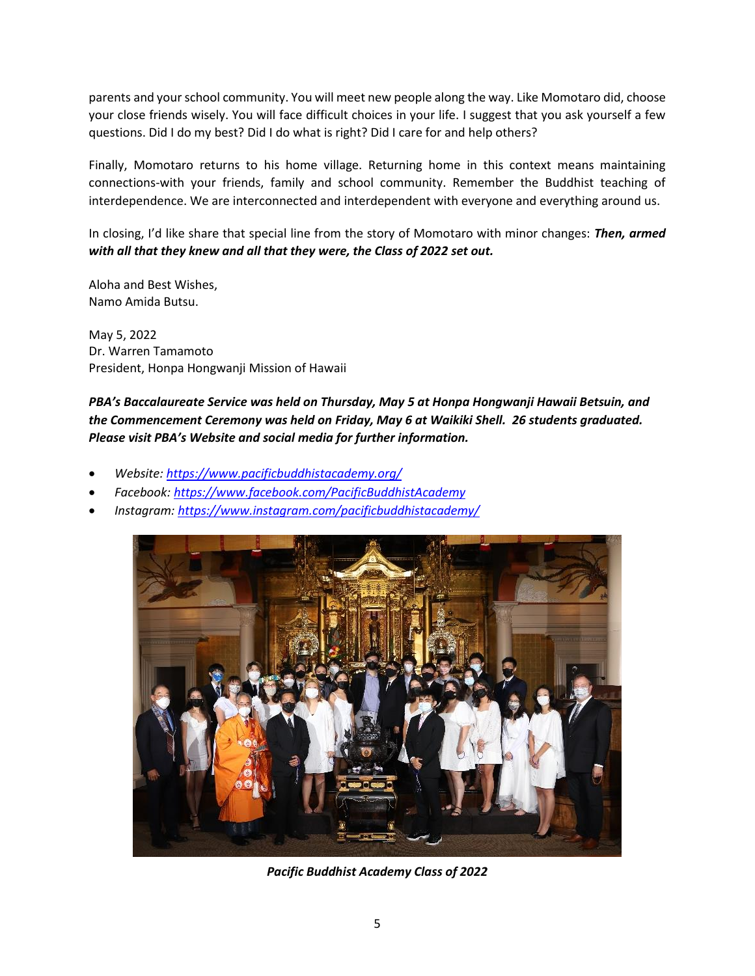parents and your school community. You will meet new people along the way. Like Momotaro did, choose your close friends wisely. You will face difficult choices in your life. I suggest that you ask yourself a few questions. Did I do my best? Did I do what is right? Did I care for and help others?

Finally, Momotaro returns to his home village. Returning home in this context means maintaining connections-with your friends, family and school community. Remember the Buddhist teaching of interdependence. We are interconnected and interdependent with everyone and everything around us.

In closing, I'd like share that special line from the story of Momotaro with minor changes: *Then, armed with all that they knew and all that they were, the Class of 2022 set out.*

Aloha and Best Wishes, Namo Amida Butsu.

May 5, 2022 Dr. Warren Tamamoto President, Honpa Hongwanji Mission of Hawaii

*PBA's Baccalaureate Service was held on Thursday, May 5 at Honpa Hongwanji Hawaii Betsuin, and the Commencement Ceremony was held on Friday, May 6 at Waikiki Shell. 26 students graduated. Please visit PBA's Website and social media for further information.*

- *Website:<https://www.pacificbuddhistacademy.org/>*
- *Facebook:<https://www.facebook.com/PacificBuddhistAcademy>*
- *Instagram:<https://www.instagram.com/pacificbuddhistacademy/>*



*Pacific Buddhist Academy Class of 2022*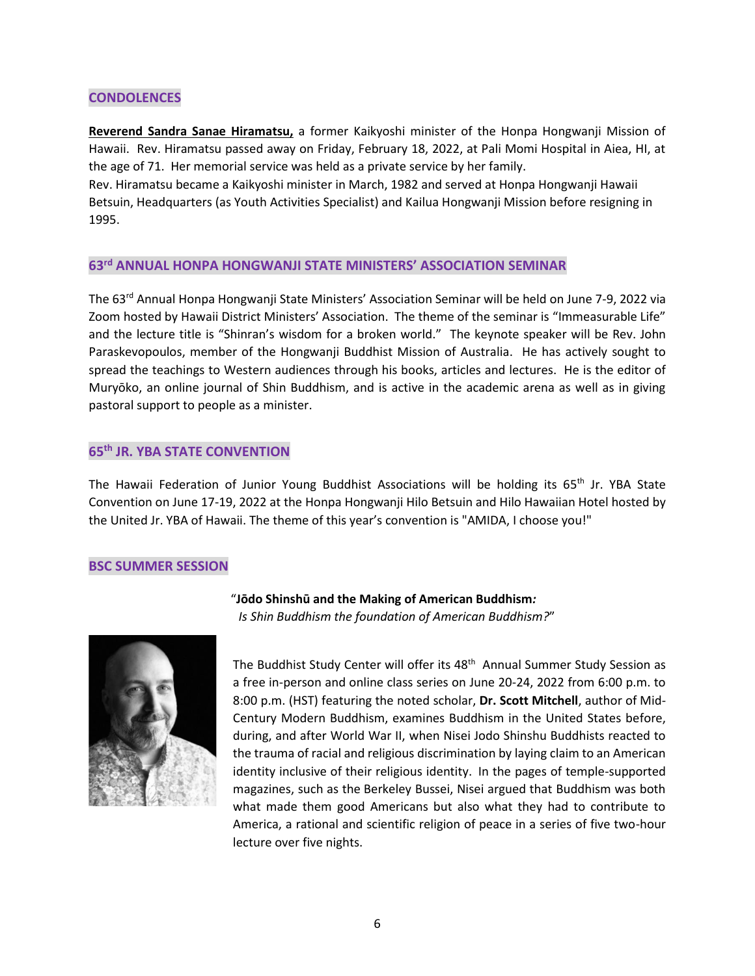### **CONDOLENCES**

**Reverend Sandra Sanae Hiramatsu,** a former Kaikyoshi minister of the Honpa Hongwanji Mission of Hawaii. Rev. Hiramatsu passed away on Friday, February 18, 2022, at Pali Momi Hospital in Aiea, HI, at the age of 71. Her memorial service was held as a private service by her family.

Rev. Hiramatsu became a Kaikyoshi minister in March, 1982 and served at Honpa Hongwanji Hawaii Betsuin, Headquarters (as Youth Activities Specialist) and Kailua Hongwanji Mission before resigning in 1995.

## **63 rd ANNUAL HONPA HONGWANJI STATE MINISTERS' ASSOCIATION SEMINAR**

The 63<sup>rd</sup> Annual Honpa Hongwanji State Ministers' Association Seminar will be held on June 7-9, 2022 via Zoom hosted by Hawaii District Ministers' Association. The theme of the seminar is "Immeasurable Life" and the lecture title is "Shinran's wisdom for a broken world." The keynote speaker will be Rev. John Paraskevopoulos, member of the Hongwanji Buddhist Mission of Australia. He has actively sought to spread the teachings to Western audiences through his books, articles and lectures. He is the editor of Muryōko, an online journal of Shin Buddhism, and is active in the academic arena as well as in giving pastoral support to people as a minister.

## **65 th JR. YBA STATE CONVENTION**

The Hawaii Federation of Junior Young Buddhist Associations will be holding its 65<sup>th</sup> Jr. YBA State Convention on June 17-19, 2022 at the Honpa Hongwanji Hilo Betsuin and Hilo Hawaiian Hotel hosted by the United Jr. YBA of Hawaii. The theme of this year's convention is "AMIDA, I choose you!"

#### **BSC SUMMER SESSION**



"**Jōdo Shinshū and the Making of American Buddhism***: Is Shin Buddhism the foundation of American Buddhism?*"

The Buddhist Study Center will offer its 48<sup>th</sup> Annual Summer Study Session as a free in-person and online class series on June 20-24, 2022 from 6:00 p.m. to 8:00 p.m. (HST) featuring the noted scholar, **Dr. Scott Mitchell**, author of Mid-Century Modern Buddhism, examines Buddhism in the United States before, during, and after World War II, when Nisei Jodo Shinshu Buddhists reacted to the trauma of racial and religious discrimination by laying claim to an American identity inclusive of their religious identity. In the pages of temple-supported magazines, such as the Berkeley Bussei, Nisei argued that Buddhism was both what made them good Americans but also what they had to contribute to America, a rational and scientific religion of peace in a series of five two-hour lecture over five nights.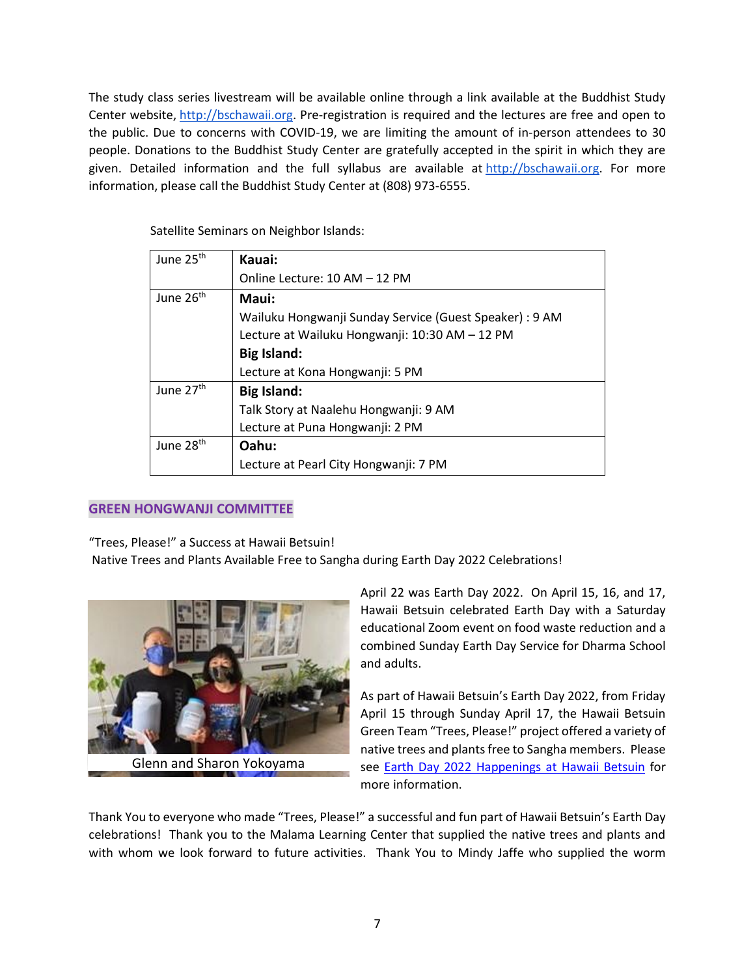The study class series livestream will be available online through a link available at the Buddhist Study Center website, [http://bschawaii.org.](http://bschawaii.org/) Pre-registration is required and the lectures are free and open to the public. Due to concerns with COVID-19, we are limiting the amount of in-person attendees to 30 people. Donations to the Buddhist Study Center are gratefully accepted in the spirit in which they are given. Detailed information and the full syllabus are available at [http://bschawaii.org.](http://bschawaii.org/) For more information, please call the Buddhist Study Center at (808) 973-6555.

| June 25 <sup>th</sup> | Kauai:                                                  |
|-----------------------|---------------------------------------------------------|
|                       | Online Lecture: 10 AM - 12 PM                           |
| June 26 <sup>th</sup> | Maui:                                                   |
|                       | Wailuku Hongwanji Sunday Service (Guest Speaker) : 9 AM |
|                       | Lecture at Wailuku Hongwanji: 10:30 AM - 12 PM          |
|                       | <b>Big Island:</b>                                      |
|                       | Lecture at Kona Hongwanji: 5 PM                         |
| June 27 <sup>th</sup> | <b>Big Island:</b>                                      |
|                       | Talk Story at Naalehu Hongwanji: 9 AM                   |
|                       | Lecture at Puna Hongwanji: 2 PM                         |
| June 28 <sup>th</sup> | Oahu:                                                   |
|                       | Lecture at Pearl City Hongwanji: 7 PM                   |

Satellite Seminars on Neighbor Islands:

## **GREEN HONGWANJI COMMITTEE**

"Trees, Please!" a Success at Hawaii Betsuin!

Native Trees and Plants Available Free to Sangha during Earth Day 2022 Celebrations!



Glenn and Sharon Yokoyama

April 22 was Earth Day 2022. On April 15, 16, and 17, Hawaii Betsuin celebrated Earth Day with a Saturday educational Zoom event on food waste reduction and a combined Sunday Earth Day Service for Dharma School and adults.

As part of Hawaii Betsuin's Earth Day 2022, from Friday April 15 through Sunday April 17, the Hawaii Betsuin Green Team "Trees, Please!" project offered a variety of native trees and plants free to Sangha members. Please see [Earth Day 2022 Happenings at Hawaii Betsuin](https://hawaiibetsuin.org/earth-day-related-2022/) for more information.

Thank You to everyone who made "Trees, Please!" a successful and fun part of Hawaii Betsuin's Earth Day celebrations! Thank you to the Malama Learning Center that supplied the native trees and plants and with whom we look forward to future activities. Thank You to Mindy Jaffe who supplied the worm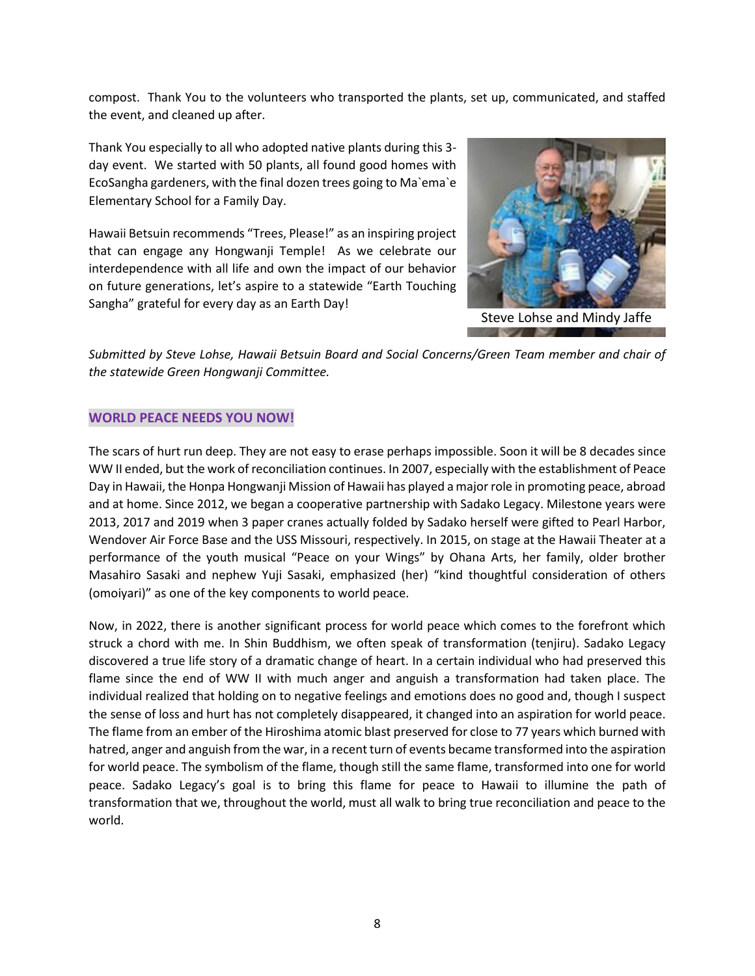compost. Thank You to the volunteers who transported the plants, set up, communicated, and staffed the event, and cleaned up after.

Thank You especially to all who adopted native plants during this 3 day event. We started with 50 plants, all found good homes with EcoSangha gardeners, with the final dozen trees going to Ma`ema`e Elementary School for a Family Day.

Hawaii Betsuin recommends "Trees, Please!" as an inspiring project that can engage any Hongwanji Temple! As we celebrate our interdependence with all life and own the impact of our behavior on future generations, let's aspire to a statewide "Earth Touching Sangha" grateful for every day as an Earth Day!



Steve Lohse and Mindy Jaffe

*Submitted by Steve Lohse, Hawaii Betsuin Board and Social Concerns/Green Team member and chair of the statewide Green Hongwanji Committee.*

#### **WORLD PEACE NEEDS YOU NOW!**

The scars of hurt run deep. They are not easy to erase perhaps impossible. Soon it will be 8 decades since WW II ended, but the work of reconciliation continues. In 2007, especially with the establishment of Peace Day in Hawaii, the Honpa Hongwanji Mission of Hawaii has played a major role in promoting peace, abroad and at home. Since 2012, we began a cooperative partnership with Sadako Legacy. Milestone years were 2013, 2017 and 2019 when 3 paper cranes actually folded by Sadako herself were gifted to Pearl Harbor, Wendover Air Force Base and the USS Missouri, respectively. In 2015, on stage at the Hawaii Theater at a performance of the youth musical "Peace on your Wings" by Ohana Arts, her family, older brother Masahiro Sasaki and nephew Yuji Sasaki, emphasized (her) "kind thoughtful consideration of others (omoiyari)" as one of the key components to world peace.

Now, in 2022, there is another significant process for world peace which comes to the forefront which struck a chord with me. In Shin Buddhism, we often speak of transformation (tenjiru). Sadako Legacy discovered a true life story of a dramatic change of heart. In a certain individual who had preserved this flame since the end of WW II with much anger and anguish a transformation had taken place. The individual realized that holding on to negative feelings and emotions does no good and, though I suspect the sense of loss and hurt has not completely disappeared, it changed into an aspiration for world peace. The flame from an ember of the Hiroshima atomic blast preserved for close to 77 years which burned with hatred, anger and anguish from the war, in a recent turn of events became transformed into the aspiration for world peace. The symbolism of the flame, though still the same flame, transformed into one for world peace. Sadako Legacy's goal is to bring this flame for peace to Hawaii to illumine the path of transformation that we, throughout the world, must all walk to bring true reconciliation and peace to the world.